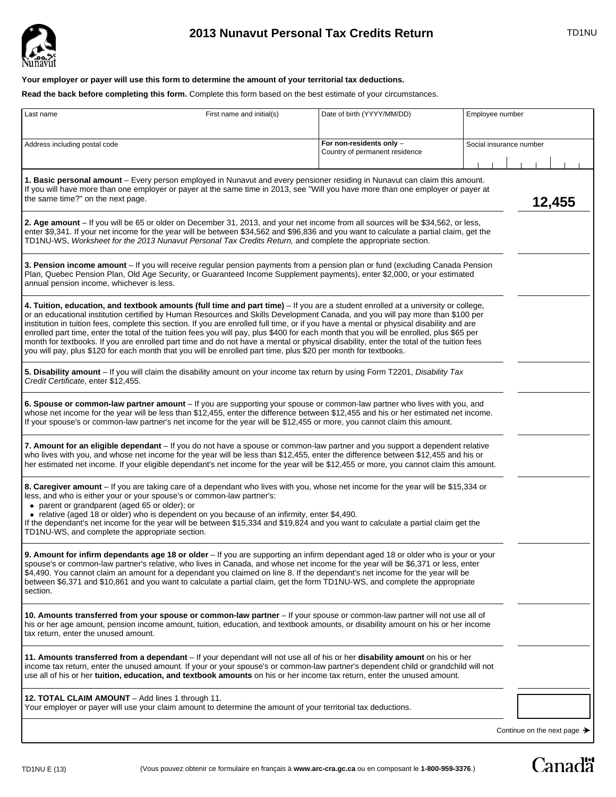

# **2013 Nunavut Personal Tax Credits Return** TD1NU

## **Your employer or payer will use this form to determine the amount of your territorial tax deductions.**

**Read the back before completing this form.** Complete this form based on the best estimate of your circumstances.

| Last name                                                                                                                                                                                                                                                                                                                                                                                                                                                                                                                                                                                                                                                                                                                                                                                                                  | First name and initial(s) | Date of birth (YYYY/MM/DD)                                 | Employee number         |
|----------------------------------------------------------------------------------------------------------------------------------------------------------------------------------------------------------------------------------------------------------------------------------------------------------------------------------------------------------------------------------------------------------------------------------------------------------------------------------------------------------------------------------------------------------------------------------------------------------------------------------------------------------------------------------------------------------------------------------------------------------------------------------------------------------------------------|---------------------------|------------------------------------------------------------|-------------------------|
| Address including postal code                                                                                                                                                                                                                                                                                                                                                                                                                                                                                                                                                                                                                                                                                                                                                                                              |                           | For non-residents only -<br>Country of permanent residence | Social insurance number |
| 1. Basic personal amount - Every person employed in Nunavut and every pensioner residing in Nunavut can claim this amount.<br>If you will have more than one employer or payer at the same time in 2013, see "Will you have more than one employer or payer at<br>the same time?" on the next page.<br>12,455                                                                                                                                                                                                                                                                                                                                                                                                                                                                                                              |                           |                                                            |                         |
| 2. Age amount – If you will be 65 or older on December 31, 2013, and your net income from all sources will be \$34,562, or less,<br>enter \$9,341. If your net income for the year will be between \$34,562 and \$96,836 and you want to calculate a partial claim, get the<br>TD1NU-WS, Worksheet for the 2013 Nunavut Personal Tax Credits Return, and complete the appropriate section.                                                                                                                                                                                                                                                                                                                                                                                                                                 |                           |                                                            |                         |
| 3. Pension income amount - If you will receive regular pension payments from a pension plan or fund (excluding Canada Pension<br>Plan, Quebec Pension Plan, Old Age Security, or Guaranteed Income Supplement payments), enter \$2,000, or your estimated<br>annual pension income, whichever is less.                                                                                                                                                                                                                                                                                                                                                                                                                                                                                                                     |                           |                                                            |                         |
| 4. Tuition, education, and textbook amounts (full time and part time) – If you are a student enrolled at a university or college,<br>or an educational institution certified by Human Resources and Skills Development Canada, and you will pay more than \$100 per<br>institution in tuition fees, complete this section. If you are enrolled full time, or if you have a mental or physical disability and are<br>enrolled part time, enter the total of the tuition fees you will pay, plus \$400 for each month that you will be enrolled, plus \$65 per<br>month for textbooks. If you are enrolled part time and do not have a mental or physical disability, enter the total of the tuition fees<br>you will pay, plus \$120 for each month that you will be enrolled part time, plus \$20 per month for textbooks. |                           |                                                            |                         |
| 5. Disability amount – If you will claim the disability amount on your income tax return by using Form T2201, Disability Tax<br>Credit Certificate, enter \$12,455.                                                                                                                                                                                                                                                                                                                                                                                                                                                                                                                                                                                                                                                        |                           |                                                            |                         |
| 6. Spouse or common-law partner amount – If you are supporting your spouse or common-law partner who lives with you, and<br>whose net income for the year will be less than \$12,455, enter the difference between \$12,455 and his or her estimated net income.<br>If your spouse's or common-law partner's net income for the year will be \$12,455 or more, you cannot claim this amount.                                                                                                                                                                                                                                                                                                                                                                                                                               |                           |                                                            |                         |
| 7. Amount for an eligible dependant – If you do not have a spouse or common-law partner and you support a dependent relative<br>who lives with you, and whose net income for the year will be less than \$12,455, enter the difference between \$12,455 and his or<br>her estimated net income. If your eligible dependant's net income for the year will be \$12,455 or more, you cannot claim this amount.                                                                                                                                                                                                                                                                                                                                                                                                               |                           |                                                            |                         |
| 8. Caregiver amount – If you are taking care of a dependant who lives with you, whose net income for the year will be \$15,334 or<br>less, and who is either your or your spouse's or common-law partner's:<br>• parent or grandparent (aged 65 or older); or<br>• relative (aged 18 or older) who is dependent on you because of an infirmity, enter \$4,490.<br>If the dependant's net income for the year will be between \$15,334 and \$19,824 and you want to calculate a partial claim get the<br>TD1NU-WS, and complete the appropriate section.                                                                                                                                                                                                                                                                    |                           |                                                            |                         |
| 9. Amount for infirm dependants age 18 or older - If you are supporting an infirm dependant aged 18 or older who is your or your<br>spouse's or common-law partner's relative, who lives in Canada, and whose net income for the year will be \$6,371 or less, enter<br>\$4,490. You cannot claim an amount for a dependant you claimed on line 8. If the dependant's net income for the year will be<br>between \$6,371 and \$10,861 and you want to calculate a partial claim, get the form TD1NU-WS, and complete the appropriate<br>section.                                                                                                                                                                                                                                                                           |                           |                                                            |                         |
| 10. Amounts transferred from your spouse or common-law partner – If your spouse or common-law partner will not use all of<br>his or her age amount, pension income amount, tuition, education, and textbook amounts, or disability amount on his or her income<br>tax return, enter the unused amount.                                                                                                                                                                                                                                                                                                                                                                                                                                                                                                                     |                           |                                                            |                         |
| 11. Amounts transferred from a dependant – If your dependant will not use all of his or her disability amount on his or her<br>income tax return, enter the unused amount. If your or your spouse's or common-law partner's dependent child or grandchild will not<br>use all of his or her tuition, education, and textbook amounts on his or her income tax return, enter the unused amount.                                                                                                                                                                                                                                                                                                                                                                                                                             |                           |                                                            |                         |
| 12. TOTAL CLAIM AMOUNT - Add lines 1 through 11.<br>Your employer or payer will use your claim amount to determine the amount of your territorial tax deductions.                                                                                                                                                                                                                                                                                                                                                                                                                                                                                                                                                                                                                                                          |                           |                                                            |                         |

Continue on the next page  $\rightarrow$ 

**Canadä**